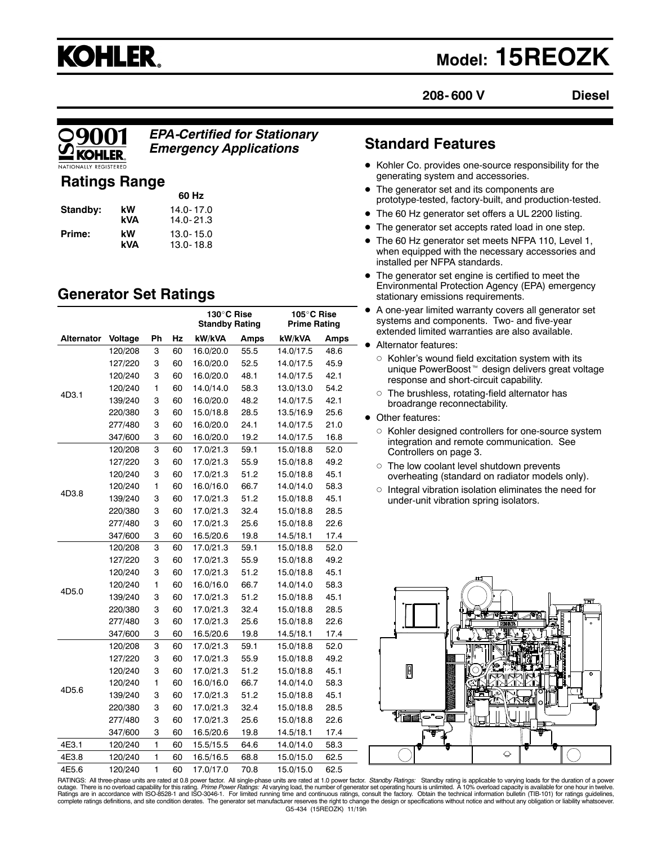

# **Model: 15REOZK**

**208- 600 V**

**Diesel**

*EPA-Certified for Stationary Emergency Applications*

# **Ratings Range**

|          |     | 60 Hz         |
|----------|-----|---------------|
| Standby: | kW  | $14.0 - 17.0$ |
|          | kVA | $14.0 - 21.3$ |
| Prime:   | kW  | 13.0-15.0     |
|          | kVA | 13.0-18.8     |

# **Generator Set Ratings**

|                                                                   |                                                                                                                                                                                              |              |           | 130°C Rise<br><b>Standby Rating</b> |           | 105°C Rise<br>Prime Rating |      |
|-------------------------------------------------------------------|----------------------------------------------------------------------------------------------------------------------------------------------------------------------------------------------|--------------|-----------|-------------------------------------|-----------|----------------------------|------|
| Alternator                                                        | Voltage                                                                                                                                                                                      | Ph           | Hz        | kW/kVA                              | Amps      | kW/kVA                     | Amps |
|                                                                   | 120/208                                                                                                                                                                                      | 3            | 60        | 16.0/20.0                           | 55.5      | 14.0/17.5                  | 48.6 |
|                                                                   | 127/220                                                                                                                                                                                      | 3            | 60        | 16.0/20.0                           | 52.5      | 14.0/17.5                  | 45.9 |
|                                                                   | 120/240                                                                                                                                                                                      | 3            | 60        | 16.0/20.0                           | 48.1      | 14.0/17.5                  | 42.1 |
|                                                                   | 120/240                                                                                                                                                                                      | 1            | 60        | 14.0/14.0                           | 58.3      | 13.0/13.0                  | 54.2 |
|                                                                   | 139/240                                                                                                                                                                                      | 3            | 60        | 16.0/20.0                           | 48.2      | 14.0/17.5                  | 42.1 |
|                                                                   | 220/380                                                                                                                                                                                      | 3            | 60        | 15.0/18.8                           | 28.5      | 13.5/16.9                  | 25.6 |
|                                                                   | 277/480                                                                                                                                                                                      | 3            | 60        | 16.0/20.0                           | 24.1      | 14.0/17.5                  | 21.0 |
|                                                                   | 347/600                                                                                                                                                                                      | 3            | 60        | 16.0/20.0                           | 19.2      | 14.0/17.5                  | 16.8 |
|                                                                   | 120/208                                                                                                                                                                                      | 3            | 60        | 17.0/21.3                           | 59.1      | 15.0/18.8                  | 52.0 |
|                                                                   | 127/220                                                                                                                                                                                      | 3            | 60        | 17.0/21.3                           | 55.9      | 15.0/18.8                  | 49.2 |
|                                                                   | 120/240                                                                                                                                                                                      | 3            | 60        | 17.0/21.3                           | 51.2      | 15.0/18.8                  | 45.1 |
|                                                                   | 120/240                                                                                                                                                                                      | 1            | 60        | 16.0/16.0                           | 66.7      | 14.0/14.0                  | 58.3 |
|                                                                   | 3<br>139/240<br>3<br>220/380<br>3<br>277/480<br>3<br>347/600<br>3<br>120/208<br>3<br>127/220<br>3<br>120/240<br>1<br>120/240<br>139/240<br>3<br>3<br>220/380<br>277/480<br>3<br>3<br>347/600 | 60           | 17.0/21.3 | 51.2                                | 15.0/18.8 | 45.1                       |      |
|                                                                   |                                                                                                                                                                                              |              | 60        | 17.0/21.3                           | 32.4      | 15.0/18.8                  | 28.5 |
|                                                                   |                                                                                                                                                                                              |              | 60        | 17.0/21.3                           | 25.6      | 15.0/18.8                  | 22.6 |
|                                                                   |                                                                                                                                                                                              |              | 60        | 16.5/20.6                           | 19.8      | 14.5/18.1                  | 17.4 |
|                                                                   |                                                                                                                                                                                              |              | 60        | 17.0/21.3                           | 59.1      | 15.0/18.8                  | 52.0 |
|                                                                   |                                                                                                                                                                                              |              | 60        | 17.0/21.3                           | 55.9      | 15.0/18.8                  | 49.2 |
| 4D3.1<br>4D3.8<br>60<br>60<br>4D5.0<br>60<br>60<br>60<br>60<br>60 | 17.0/21.3                                                                                                                                                                                    | 51.2         | 15.0/18.8 | 45.1                                |           |                            |      |
|                                                                   |                                                                                                                                                                                              |              | 16.0/16.0 | 66.7                                | 14.0/14.0 | 58.3                       |      |
|                                                                   |                                                                                                                                                                                              |              | 17.0/21.3 | 51.2                                | 15.0/18.8 | 45.1                       |      |
|                                                                   |                                                                                                                                                                                              | 17.0/21.3    | 32.4      | 15.0/18.8                           | 28.5      |                            |      |
|                                                                   |                                                                                                                                                                                              |              |           | 17.0/21.3                           | 25.6      | 15.0/18.8                  | 22.6 |
|                                                                   |                                                                                                                                                                                              |              |           | 16.5/20.6                           | 19.8      | 14.5/18.1                  | 17.4 |
|                                                                   | 120/208                                                                                                                                                                                      | 3            |           | 17.0/21.3                           | 59.1      | 15.0/18.8                  | 52.0 |
|                                                                   | 127/220                                                                                                                                                                                      | 3            | 60        | 17.0/21.3                           | 55.9      | 15.0/18.8                  | 49.2 |
|                                                                   | 120/240                                                                                                                                                                                      | 3            | 60        | 17.0/21.3                           | 51.2      | 15.0/18.8                  | 45.1 |
| 4D5.6                                                             | 120/240                                                                                                                                                                                      | 1            | 60        | 16.0/16.0                           | 66.7      | 14.0/14.0                  | 58.3 |
|                                                                   | 139/240                                                                                                                                                                                      | 3            | 60        | 17.0/21.3                           | 51.2      | 15.0/18.8                  | 45.1 |
|                                                                   | 220/380                                                                                                                                                                                      | 3            | 60        | 17.0/21.3                           | 32.4      | 15.0/18.8                  | 28.5 |
|                                                                   | 277/480                                                                                                                                                                                      | 3            | 60        | 17.0/21.3                           | 25.6      | 15.0/18.8                  | 22.6 |
|                                                                   | 347/600                                                                                                                                                                                      | 3            | 60        | 16.5/20.6                           | 19.8      | 14.5/18.1                  | 17.4 |
| 4E3.1                                                             | 120/240                                                                                                                                                                                      | 1            | 60        | 15.5/15.5                           | 64.6      | 14.0/14.0                  | 58.3 |
| 4E3.8                                                             | 120/240                                                                                                                                                                                      | 1            | 60        | 16.5/16.5                           | 68.8      | 15.0/15.0                  | 62.5 |
| 4E5.6                                                             | 120/240                                                                                                                                                                                      | $\mathbf{1}$ | 60        | 17.0/17.0                           | 70.8      | 15.0/15.0                  | 62.5 |

# **Standard Features**

- $\bullet$  Kohler Co. provides one-source responsibility for the generating system and accessories.
- The generator set and its components are prototype-tested, factory-built, and production-tested.
- The 60 Hz generator set offers a UL 2200 listing.
- The generator set accepts rated load in one step.
- The 60 Hz generator set meets NFPA 110, Level 1, when equipped with the necessary accessories and installed per NFPA standards.
- $\bullet$  The generator set engine is certified to meet the Environmental Protection Agency (EPA) emergency stationary emissions requirements.
- $\bullet$  A one-year limited warranty covers all generator set systems and components. Two- and five-year extended limited warranties are also available.

### • Alternator features:

- $\circ$  Kohler's wound field excitation system with its unique PowerBoost<sup>™</sup> design delivers great voltage response and short-circuit capability.
- $\circ$  The brushless, rotating-field alternator has broadrange reconnectability.
- Other features:
	- o Kohler designed controllers for one-source system integration and remote communication. See Controllers on page 3.
	- $\circ$  The low coolant level shutdown prevents overheating (standard on radiator models only).
	- $\circ$  Integral vibration isolation eliminates the need for under-unit vibration spring isolators.



G5-434 (15REOZK) 11/19h RATINGS: All three-phase units are rated at 0.8 power factor. All single-phase units are rated at 1.0 power factor. *Standby Ratings*: Standby rating is applicable to varying loads for the duration of a power<br>outage. There complete ratings definitions, and site condition derates. The generator set manufacturer reserves the right to change the design or specifications without notice and without any obligation or liability whatsoever.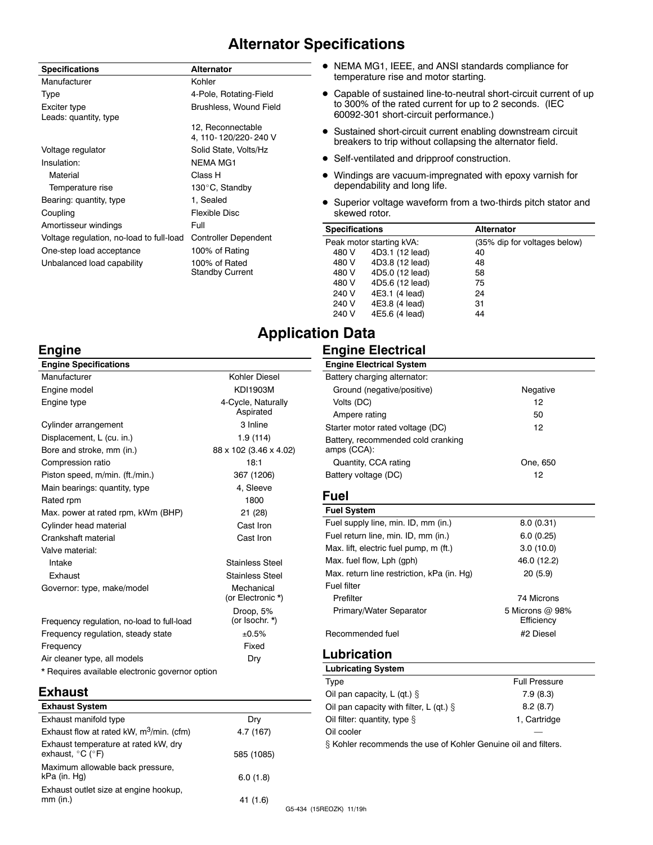# **Alternator Specifications**

| <b>Specifications</b>                    | <b>Alternator</b>           |
|------------------------------------------|-----------------------------|
| Manufacturer                             | Kohler                      |
| Type                                     | 4-Pole, Rotating-Field      |
| Exciter type                             | Brushless, Wound Field      |
| Leads: quantity, type                    |                             |
|                                          | 12, Reconnectable           |
|                                          | 4, 110-120/220-240 V        |
| Voltage regulator                        | Solid State, Volts/Hz       |
| Insulation:                              | <b>NFMA MG1</b>             |
| Material                                 | Class H                     |
| Temperature rise                         | 130°C, Standby              |
| Bearing: quantity, type                  | 1. Sealed                   |
| Coupling                                 | Flexible Disc               |
| Amortisseur windings                     | Full                        |
| Voltage regulation, no-load to full-load | <b>Controller Dependent</b> |
| One-step load acceptance                 | 100% of Rating              |
| Unbalanced load capability               | 100% of Rated               |
|                                          | <b>Standby Current</b>      |

- NEMA MG1, IEEE, and ANSI standards compliance for temperature rise and motor starting.
- Capable of sustained line-to-neutral short-circuit current of up to 300% of the rated current for up to 2 seconds. (IEC 60092-301 short-circuit performance.)
- Sustained short-circuit current enabling downstream circuit breakers to trip without collapsing the alternator field.
- Self-ventilated and dripproof construction.
- $\bullet$  Windings are vacuum-impregnated with epoxy varnish for dependability and long life.
- Superior voltage waveform from a two-thirds pitch stator and skewed rotor.

| <b>Specifications</b> |                          | <b>Alternator</b>            |
|-----------------------|--------------------------|------------------------------|
|                       | Peak motor starting kVA: | (35% dip for voltages below) |
| 480 V                 | 4D3.1 (12 lead)          | 40                           |
| 480 V                 | 4D3.8 (12 lead)          | 48                           |
| 480 V                 | 4D5.0 (12 lead)          | 58                           |
| 480 V                 | 4D5.6 (12 lead)          | 75                           |
| 240 V                 | 4E3.1 (4 lead)           | 24                           |
| 240 V                 | 4E3.8 (4 lead)           | 31                           |
| 240 V                 | 4E5.6 (4 lead)           | 44                           |

Negative

One, 650

# **Application Data**

### **Engine Electrical**

|                        | <b>Engine Electrical System</b>            |         |
|------------------------|--------------------------------------------|---------|
| Kohler Diesel          | Battery charging alternator:               |         |
| KD11903M               | Ground (negative/positive)                 | Nega    |
| 4-Cycle, Naturally     | Volts (DC)                                 | 12      |
| Aspirated              | Ampere rating                              | 50      |
| 3 Inline               | Starter motor rated voltage (DC)           | 12      |
| 1.9 (114)              | Battery, recommended cold cranking         |         |
| 88 x 102 (3.46 x 4.02) | amps (CCA):                                |         |
| 18:1                   | Quantity, CCA rating                       | One, ≀  |
| 367 (1206)             | Battery voltage (DC)                       | 12      |
| 4, Sleeve              |                                            |         |
| 1800                   | <b>Fuel</b>                                |         |
| 21(28)                 | <b>Fuel System</b>                         |         |
| Cast Iron              | Fuel supply line, min. ID, mm (in.)        | 8.0(0)  |
| Cast Iron              | Fuel return line, min. ID, mm (in.)        | 6.0(0)  |
|                        | Max. lift, electric fuel pump, m (ft.)     | 3.0(1)  |
| Stainless Steel        | Max. fuel flow, Lph (gph)                  | 46.0 (1 |
| <b>Stainless Steel</b> | Max. return line restriction, kPa (in. Hq) | 20 (5   |
|                        |                                            |         |

| Fuel                                       |                               |
|--------------------------------------------|-------------------------------|
| <b>Fuel System</b>                         |                               |
| Fuel supply line, min. ID, mm (in.)        | 8.0(0.31)                     |
| Fuel return line, min. ID, mm (in.)        | 6.0(0.25)                     |
| Max. lift, electric fuel pump, m (ft.)     | 3.0(10.0)                     |
| Max. fuel flow, Lph (gph)                  | 46.0 (12.2)                   |
| Max. return line restriction, kPa (in. Hq) | 20(5.9)                       |
| <b>Fuel filter</b>                         |                               |
| Prefilter                                  | 74 Microns                    |
| Primary/Water Separator                    | 5 Microns @ 98%<br>Efficiency |

# Recommended fuel #2 Diesel

## **Lubrication**

| <b>Lubricating System</b>                                    |                      |
|--------------------------------------------------------------|----------------------|
| Type                                                         | <b>Full Pressure</b> |
| Oil pan capacity, L (qt.) $\S$                               | 7.9(8.3)             |
| Oil pan capacity with filter, L (qt.) $\S$                   | 8.2(8.7)             |
| Oil filter: quantity, type §                                 | 1, Cartridge         |
| Oil cooler                                                   |                      |
| 2 Kables secommende the use of Kables Cenuse oil and filters |                      |

 $\S$  Kohler recommends the use of Kohler Genuine oil and filters.

# **Engine**

| <b>Engine Specifications</b>                    |                                 |
|-------------------------------------------------|---------------------------------|
| Manufacturer                                    | Kohler Diesel                   |
| Engine model                                    | <b>KDI1903M</b>                 |
| Engine type                                     | 4-Cycle, Naturally<br>Aspirated |
| Cylinder arrangement                            | 3 Inline                        |
| Displacement, L (cu. in.)                       | 1.9 (114)                       |
| Bore and stroke, mm (in.)                       | 88 x 102 (3.46 x 4.02)          |
| Compression ratio                               | 18:1                            |
| Piston speed, m/min. (ft./min.)                 | 367 (1206)                      |
| Main bearings: quantity, type                   | 4. Sleeve                       |
| Rated rpm                                       | 1800                            |
| Max. power at rated rpm, kWm (BHP)              | 21 (28)                         |
| Cylinder head material                          | Cast Iron                       |
| Crankshaft material                             | Cast Iron                       |
| Valve material:                                 |                                 |
| Intake                                          | <b>Stainless Steel</b>          |
| Exhaust                                         | Stainless Steel                 |
| Governor: type, make/model                      | Mechanical<br>(or Electronic *) |
| Frequency regulation, no-load to full-load      | Droop, 5%<br>(or Isochr. *)     |
| Frequency regulation, steady state              | ±0.5%                           |
| Frequency                                       | Fixed                           |
| Air cleaner type, all models                    | Dry                             |
| * Requires available electronic governor option |                                 |

# **Exhaust**

| Dry        |    |
|------------|----|
| 4.7 (167)  |    |
| 585 (1085) |    |
| 6.0(1.8)   |    |
| 41 (1.6)   | ۲Α |
|            |    |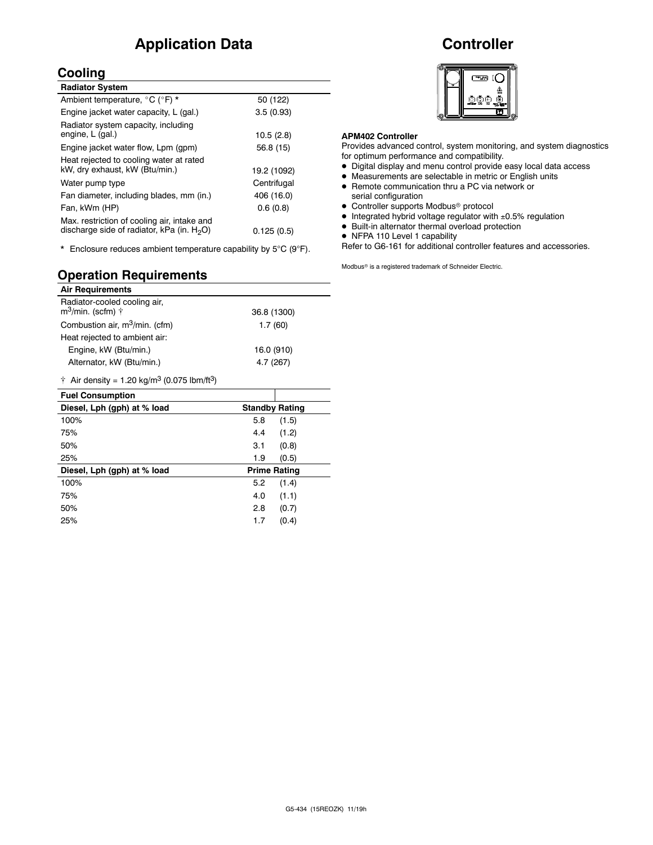# **Application Data**

# **Cooling**

| <b>Radiator System</b>                                                                       |             |
|----------------------------------------------------------------------------------------------|-------------|
| Ambient temperature, °C (°F) *                                                               | 50 (122)    |
| Engine jacket water capacity, L (gal.)                                                       | 3.5(0.93)   |
| Radiator system capacity, including<br>engine, L (gal.)                                      | 10.5(2.8)   |
| Engine jacket water flow, Lpm (gpm)                                                          | 56.8 (15)   |
| Heat rejected to cooling water at rated<br>kW, dry exhaust, kW (Btu/min.)                    | 19.2 (1092) |
| Water pump type                                                                              | Centrifugal |
| Fan diameter, including blades, mm (in.)                                                     | 406 (16.0)  |
| Fan, kWm (HP)                                                                                | 0.6(0.8)    |
| Max. restriction of cooling air, intake and<br>discharge side of radiator, kPa (in. $H_2O$ ) | 0.125(0.5)  |
|                                                                                              |             |

\* Enclosure reduces ambient temperature capability by  $5^{\circ}C$  (9 $^{\circ}F$ ).

# **Operation Requirements**

| <b>Air Requirements</b>                                               |             |                       |
|-----------------------------------------------------------------------|-------------|-----------------------|
| Radiator-cooled cooling air,<br>m <sup>3</sup> /min. (scfm) $\dagger$ | 36.8 (1300) |                       |
| Combustion air, m <sup>3</sup> /min. (cfm)                            |             | 1.7(60)               |
| Heat rejected to ambient air:                                         |             |                       |
| Engine, kW (Btu/min.)                                                 |             | 16.0 (910)            |
| Alternator, kW (Btu/min.)                                             | 4.7 (267)   |                       |
| † Air density = 1.20 kg/m <sup>3</sup> (0.075 lbm/ft <sup>3</sup> )   |             |                       |
| <b>Fuel Consumption</b>                                               |             |                       |
|                                                                       |             |                       |
| Diesel, Lph (gph) at % load                                           |             | <b>Standby Rating</b> |
| 100%                                                                  | 5.8         | (1.5)                 |
| 75%                                                                   | 4.4         | (1.2)                 |
| 50%                                                                   | 3.1         | (0.8)                 |
| 25%                                                                   | 1.9         | (0.5)                 |
| Diesel, Lph (gph) at % load                                           |             | <b>Prime Rating</b>   |
| 100%                                                                  | 5.2         | (1.4)                 |
| 75%                                                                   | 4.0         | (1.1)                 |
| 50%                                                                   | 2.8         | (0.7)                 |
| 25%                                                                   | 1.7         | (0.4)                 |

# **Controller**



### **APM402 Controller**

Provides advanced control, system monitoring, and system diagnostics for optimum performance and compatibility.

- $\bullet$  Digital display and menu control provide easy local data access
- $\bullet$  Measurements are selectable in metric or English units
- Remote communication thru a PC via network or serial configuration
- Controller supports Modbus<sup>®</sup> protocol
- $\bullet$  Integrated hybrid voltage regulator with  $\pm 0.5\%$  regulation
- $\bullet$  Built-in alternator thermal overload protection
- NFPA 110 Level 1 capability

Refer to G6-161 for additional controller features and accessories.

Modbus<sup>®</sup> is a registered trademark of Schneider Electric.